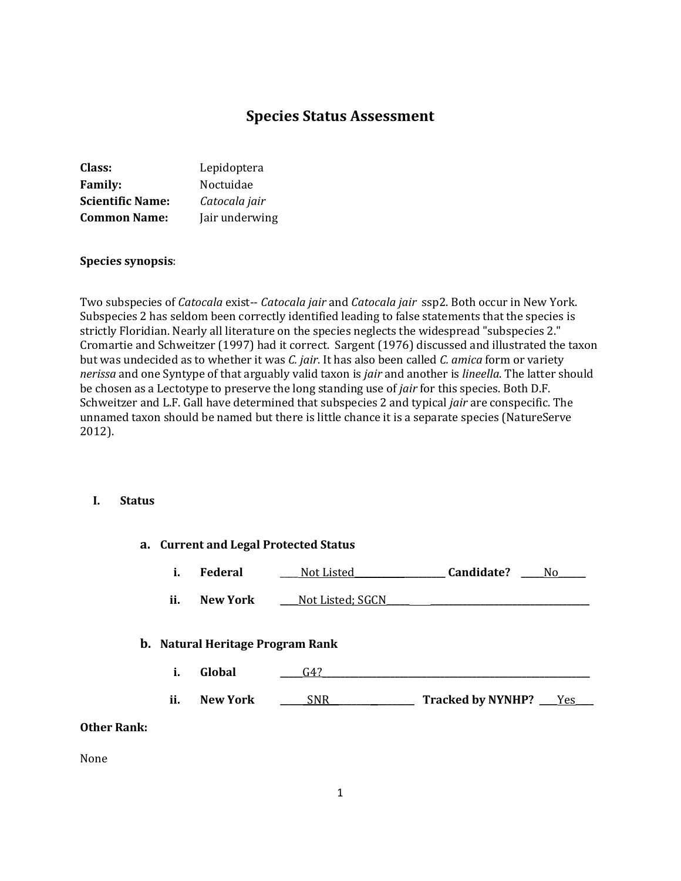# **Species Status Assessment**

| Class:                  | Lepidoptera    |
|-------------------------|----------------|
| <b>Family:</b>          | Noctuidae      |
| <b>Scientific Name:</b> | Catocala jair  |
| <b>Common Name:</b>     | Jair underwing |

#### **Species synopsis**:

Two subspecies of *Catocala* exist-- *Catocala jair* and *Catocala jair* ssp2. Both occur in New York. Subspecies 2 has seldom been correctly identified leading to false statements that the species is strictly Floridian. Nearly all literature on the species neglects the widespread "subspecies 2." Cromartie and Schweitzer (1997) had it correct. Sargent (1976) discussed and illustrated the taxon but was undecided as to whether it was *C. jair*. It has also been called *C. amica* form or variety *nerissa* and one Syntype of that arguably valid taxon is *jair* and another is *lineella*. The latter should be chosen as a Lectotype to preserve the long standing use of *jair* for this species. Both D.F. Schweitzer and L.F. Gall have determined that subspecies 2 and typical *jair* are conspecific. The unnamed taxon should be named but there is little chance it is a separate species (NatureServe 2012).

### **I. Status**

|                    |     |                                         | a. Current and Legal Protected Status |                           |    |
|--------------------|-----|-----------------------------------------|---------------------------------------|---------------------------|----|
|                    | i.  | Federal                                 | Not Listed_                           | Candidate?                | No |
|                    | ii. | <b>New York</b>                         | Not Listed; SGCN                      |                           |    |
|                    |     | <b>b.</b> Natural Heritage Program Rank |                                       |                           |    |
|                    | i.  | Global                                  | G4?                                   |                           |    |
|                    | ii. | <b>New York</b>                         | SNR                                   | Tracked by NYNHP? ___ Yes |    |
| <b>Other Rank:</b> |     |                                         |                                       |                           |    |

None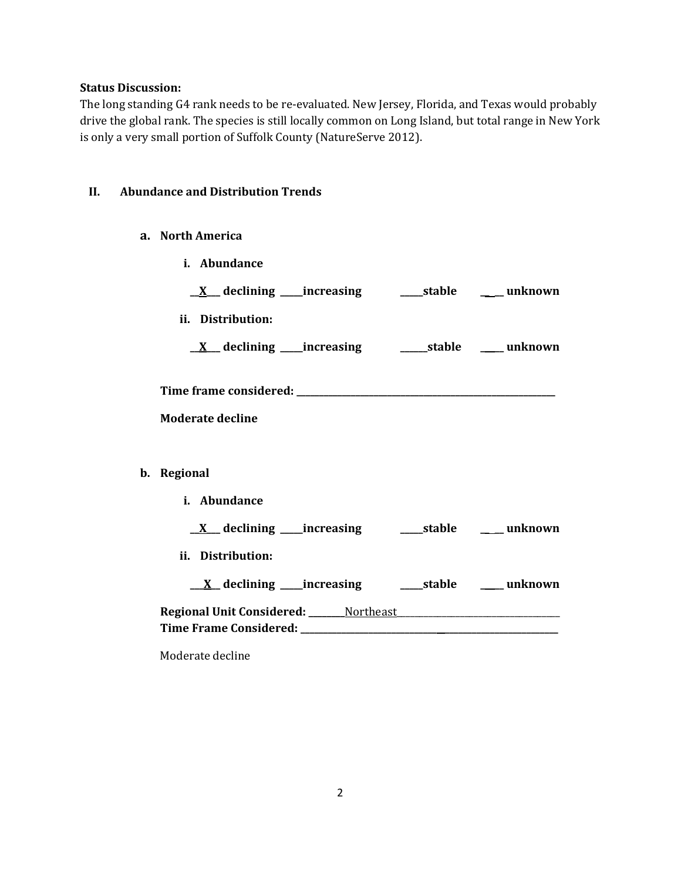### **Status Discussion:**

The long standing G4 rank needs to be re-evaluated. New Jersey, Florida, and Texas would probably drive the global rank. The species is still locally common on Long Island, but total range in New York is only a very small portion of Suffolk County (NatureServe 2012).

#### **II. Abundance and Distribution Trends**

- **a. North America**
- **i. Abundance \_\_X\_\_\_ declining \_\_\_\_\_increasing \_\_\_\_\_stable \_\_ \_\_ unknown ii. Distribution: \_\_X\_\_\_ declining \_\_\_\_\_increasing \_\_\_\_\_\_stable \_\_ \_\_ unknown Time frame considered: \_\_\_\_\_\_\_\_\_\_\_\_\_\_\_\_\_\_\_\_\_\_\_\_\_\_\_\_\_\_\_\_\_\_\_\_\_\_\_\_\_\_\_\_\_\_\_\_\_\_\_\_\_\_\_\_\_ Moderate decline b. Regional i. Abundance \_\_X\_\_\_ declining \_\_\_\_\_increasing \_\_\_\_\_stable \_\_ \_\_ unknown ii. Distribution: \_\_\_X\_\_ declining \_\_\_\_\_increasing \_\_\_\_\_stable \_\_ \_\_ unknown Regional Unit Considered: \_\_\_\_\_\_\_\_**Northeast\_\_\_\_\_\_\_\_\_\_\_\_\_\_\_\_\_\_\_\_\_\_\_\_\_\_\_\_\_\_\_\_\_\_\_\_ **Time Frame Considered: \_\_\_\_\_\_\_\_\_\_\_\_\_\_\_\_\_\_\_\_\_\_\_\_\_\_\_\_\_\_ \_\_\_\_\_\_\_\_\_\_\_\_\_\_\_\_\_\_\_\_\_\_\_\_\_**

Moderate decline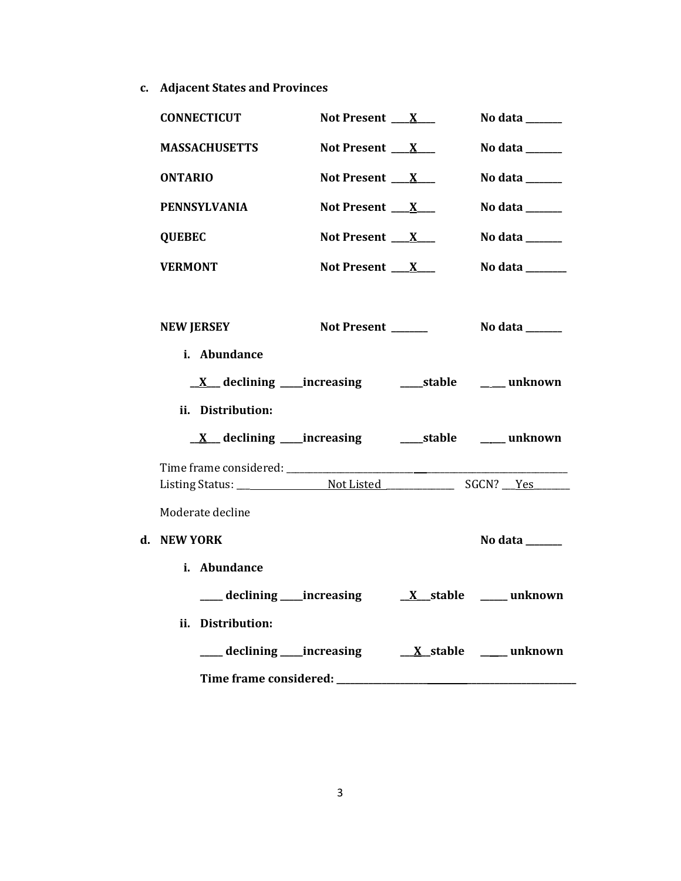**c. Adjacent States and Provinces**

|    | <b>CONNECTICUT</b>             | Not Present $X_{-}$      | No data $\_\_\_\_\_\_\_\_\_\_\_\_\$ |
|----|--------------------------------|--------------------------|-------------------------------------|
|    | MASSACHUSETTS                  | Not Present X            | No data $\_\_\_\_\_\_\_\_\_\_\_\$   |
|    | <b>ONTARIO</b>                 | Not Present $X_{-}$      | No data ______                      |
|    | <b>PENNSYLVANIA</b>            | Not Present $\mathbf{X}$ | No data ______                      |
|    | <b>QUEBEC</b>                  | Not Present $\mathbf{X}$ | No data $\_\_\_\_\_\_\_\_\_\_\_\$   |
|    | <b>VERMONT</b>                 | Not Present $X_{-}$      | No data _______                     |
|    | <b>NEW JERSEY</b>              | Not Present _____        | No data $\_\_\_\_\_\_\_\_\_\_\_\_\$ |
|    | i. Abundance                   |                          |                                     |
|    | ii. Distribution:              |                          |                                     |
|    |                                |                          |                                     |
|    | Moderate decline               |                          |                                     |
| d. | <b>NEW YORK</b>                |                          | No data _____                       |
|    | i. Abundance                   |                          |                                     |
|    | ____ declining ____ increasing |                          | $X$ _stable ______ unknown          |
|    | ii. Distribution:              |                          |                                     |
|    | ___ declining ___ increasing   |                          | <u>X</u> stable ____ unknown        |
|    | Time frame considered: ____    |                          |                                     |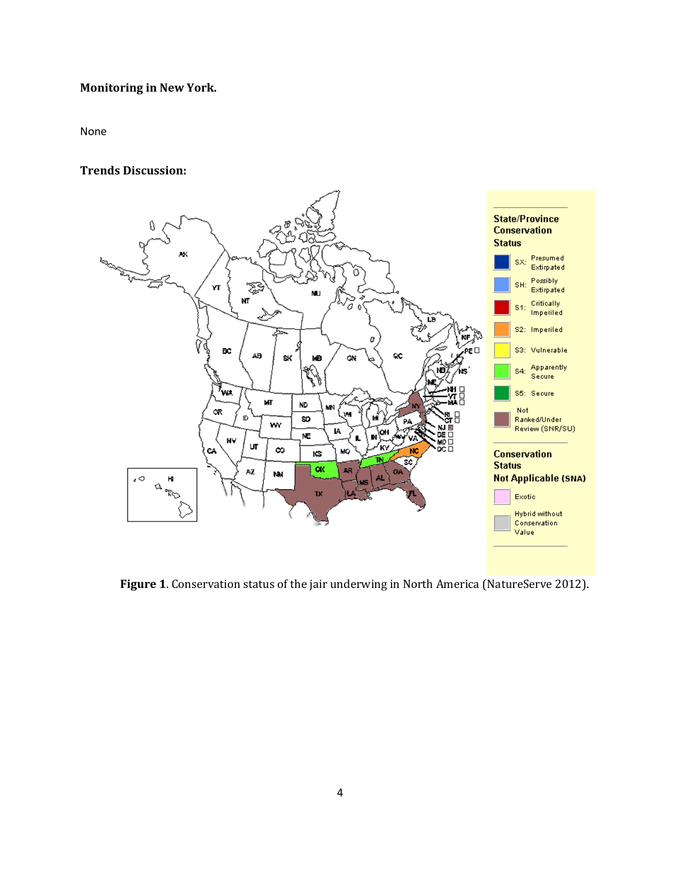# **Monitoring in New York.**

None

#### **Trends Discussion:**



**Figure 1**. Conservation status of the jair underwing in North America (NatureServe 2012).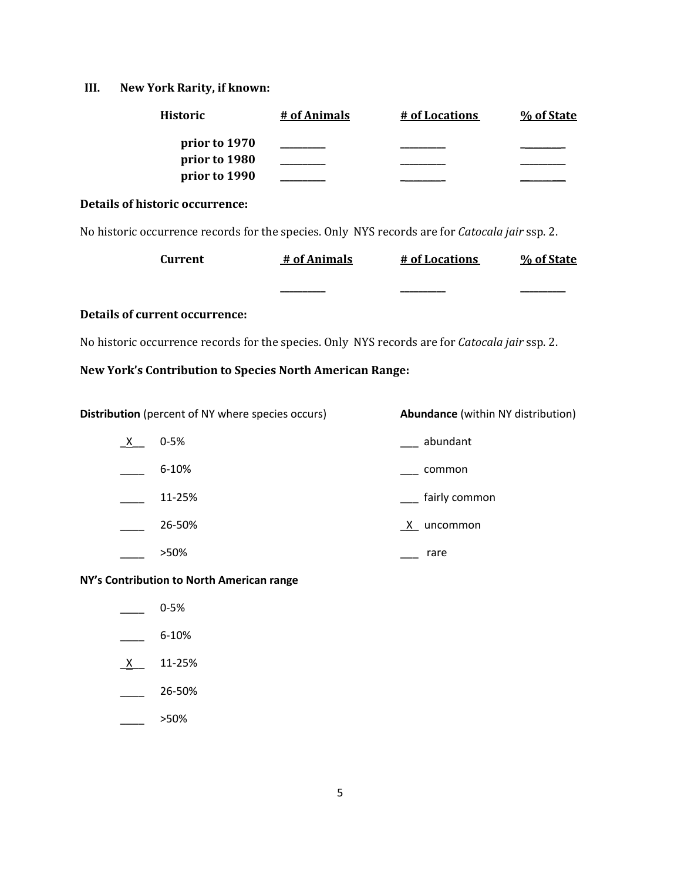### **III. New York Rarity, if known:**

| <b>Historic</b> | # of Animals | # of Locations | % of State |
|-----------------|--------------|----------------|------------|
| prior to 1970   |              |                |            |
| prior to 1980   |              |                |            |
| prior to 1990   |              |                |            |

#### **Details of historic occurrence:**

No historic occurrence records for the species. Only NYS records are for *Catocala jair* ssp. 2.

| <b>Current</b> | # of Animals | # of Locations | % of State |
|----------------|--------------|----------------|------------|
|                |              |                |            |
|                |              | _______        |            |

### **Details of current occurrence:**

No historic occurrence records for the species. Only NYS records are for *Catocala jair* ssp. 2.

#### **New York's Contribution to Species North American Range:**

**Distribution** (percent of NY where species occurs) **Abundance** (within NY distribution)

| X, | $0 - 5%$  | abundant                 |
|----|-----------|--------------------------|
|    | $6 - 10%$ | common                   |
|    | 11-25%    | fairly common            |
|    | 26-50%    | $\mathsf{X}$<br>uncommon |
|    | >50%      | rare                     |

#### **NY's Contribution to North American range**

- $-$  0-5%
- $-$  6-10%
- $X$  11-25%
- $\frac{26-50\%}{26}$
- $>50\%$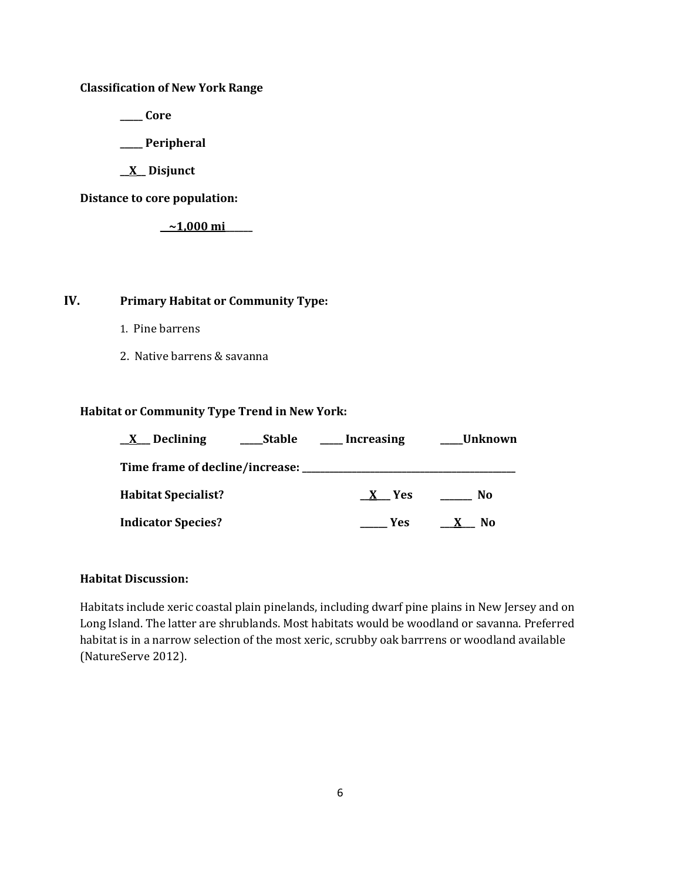**Classification of New York Range**

**\_\_\_\_\_ Core**

**\_\_\_\_\_ Peripheral**

**\_\_X\_\_ Disjunct**

**Distance to core population:**

**\_\_~1,000 mi\_\_\_\_\_\_**

| IV. | <b>Primary Habitat or Community Type:</b> |
|-----|-------------------------------------------|
|-----|-------------------------------------------|

- 1. Pine barrens
- 2. Native barrens & savanna

#### **Habitat or Community Type Trend in New York:**

| Declining<br>$\mathbf{X}$       | <b>Stable</b> | <b>Increasing</b> | <sub>-</sub> Unknown |
|---------------------------------|---------------|-------------------|----------------------|
| Time frame of decline/increase: |               |                   |                      |
| <b>Habitat Specialist?</b>      |               | X Yes             | No                   |
| <b>Indicator Species?</b>       |               | <b>Yes</b>        | No<br>$\mathbf{X}$   |

### **Habitat Discussion:**

Habitats include xeric coastal plain pinelands, including dwarf pine plains in New Jersey and on Long Island. The latter are shrublands. Most habitats would be woodland or savanna. Preferred habitat is in a narrow selection of the most xeric, scrubby oak barrrens or woodland available (NatureServe 2012).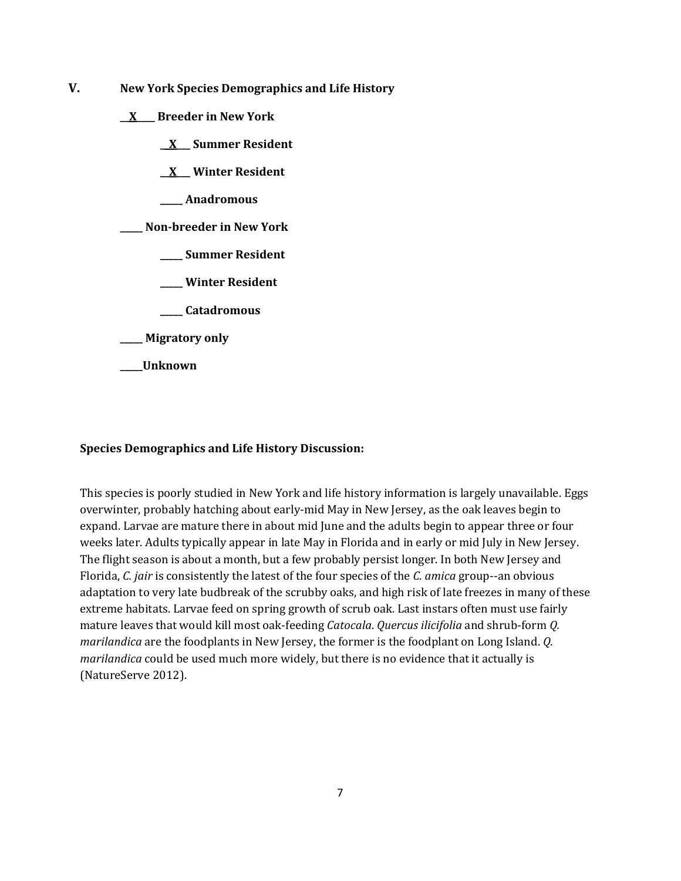- **V. New York Species Demographics and Life History**
	- **\_\_X\_\_\_\_ Breeder in New York**
		- **\_\_X\_\_\_ Summer Resident**
		- **\_\_X\_\_\_ Winter Resident**
		- **\_\_\_\_\_ Anadromous**
	- **\_\_\_\_\_ Non-breeder in New York**
		- **\_\_\_\_\_ Summer Resident**
		- **\_\_\_\_\_ Winter Resident**
		- **\_\_\_\_\_ Catadromous**
	- **\_\_\_\_\_ Migratory only**
	- **\_\_\_\_\_Unknown**

#### **Species Demographics and Life History Discussion:**

This species is poorly studied in New York and life history information is largely unavailable. Eggs overwinter, probably hatching about early-mid May in New Jersey, as the oak leaves begin to expand. Larvae are mature there in about mid June and the adults begin to appear three or four weeks later. Adults typically appear in late May in Florida and in early or mid July in New Jersey. The flight season is about a month, but a few probably persist longer. In both New Jersey and Florida, *C. jair* is consistently the latest of the four species of the *C. amica* group--an obvious adaptation to very late budbreak of the scrubby oaks, and high risk of late freezes in many of these extreme habitats. Larvae feed on spring growth of scrub oak. Last instars often must use fairly mature leaves that would kill most oak-feeding *Catocala*. *Quercus ilicifolia* and shrub-form *Q. marilandica* are the foodplants in New Jersey, the former is the foodplant on Long Island. *Q. marilandica* could be used much more widely, but there is no evidence that it actually is (NatureServe 2012).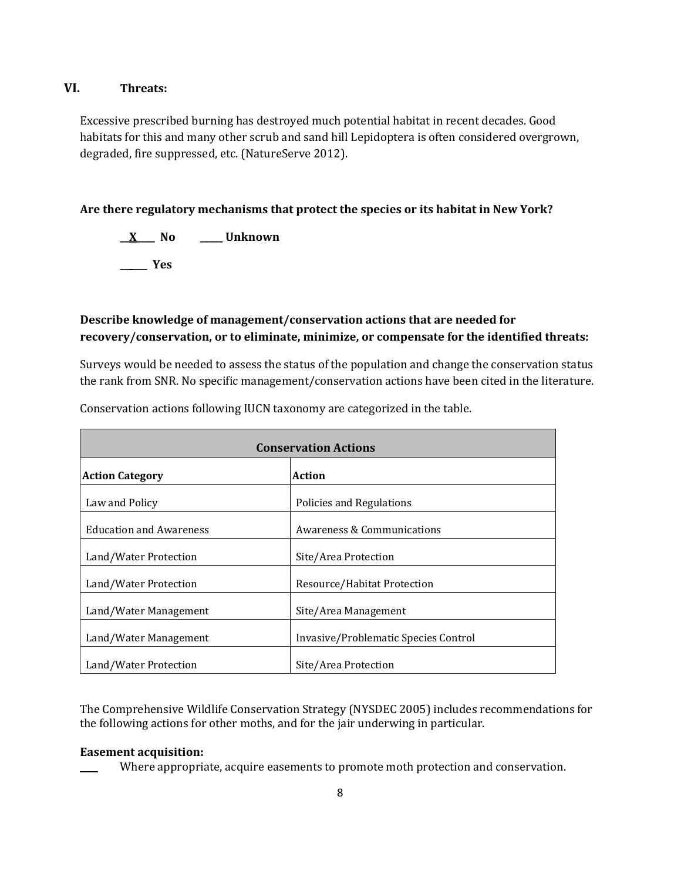### **VI. Threats:**

Excessive prescribed burning has destroyed much potential habitat in recent decades. Good habitats for this and many other scrub and sand hill Lepidoptera is often considered overgrown, degraded, fire suppressed, etc. (NatureServe 2012).

### **Are there regulatory mechanisms that protect the species or its habitat in New York?**

**\_\_X\_\_\_\_ No \_\_\_\_\_ Unknown \_\_\_\_\_\_ Yes** 

# **Describe knowledge of management/conservation actions that are needed for recovery/conservation, or to eliminate, minimize, or compensate for the identified threats:**

Surveys would be needed to assess the status of the population and change the conservation status the rank from SNR. No specific management/conservation actions have been cited in the literature.

| <b>Conservation Actions</b>    |                                      |  |
|--------------------------------|--------------------------------------|--|
| <b>Action Category</b>         | Action                               |  |
| Law and Policy                 | Policies and Regulations             |  |
| <b>Education and Awareness</b> | Awareness & Communications           |  |
| Land/Water Protection          | Site/Area Protection                 |  |
| Land/Water Protection          | Resource/Habitat Protection          |  |
| Land/Water Management          | Site/Area Management                 |  |
| Land/Water Management          | Invasive/Problematic Species Control |  |
| Land/Water Protection          | Site/Area Protection                 |  |

Conservation actions following IUCN taxonomy are categorized in the table.

The Comprehensive Wildlife Conservation Strategy (NYSDEC 2005) includes recommendations for the following actions for other moths, and for the jair underwing in particular.

### **Easement acquisition:**

Where appropriate, acquire easements to promote moth protection and conservation.